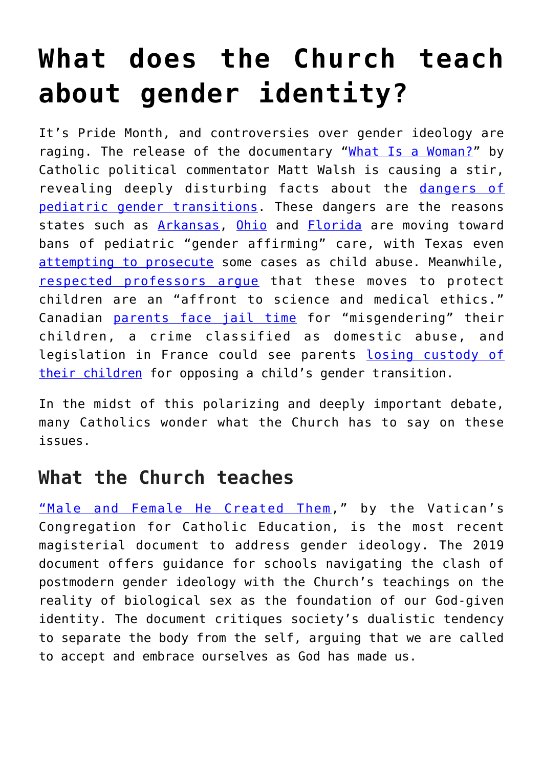## **[What does the Church teach](https://www.osvnews.com/2022/06/21/what-does-the-church-teach-about-gender-identity/) [about gender identity?](https://www.osvnews.com/2022/06/21/what-does-the-church-teach-about-gender-identity/)**

It's Pride Month, and controversies over gender ideology are raging. The release of the documentary ["What Is a Woman?"](https://www.dailywire.com/videos/what-is-a-woman?hsa_ver=3&hsa_ad=602115137259&hsa_acc=6411461344&hsa_grp=138191773918&hsa_cam=16696131986&utm_campaign=wiaw&utm_campaign=dw_conversions_subscriptions_wiaw_na&utm_medium=paid&utm_medium=ppc&cid=wiaw&hsa_src=g&mid=g&utm_term=what%20is%20a%20woman&hsa_mt=e&gclid=CjwKCAjwqauVBhBGEiwAXOepkVmKDMKqdhkmutY_XUA-RdpXRBON3IgRD4YMbNeQmNl2BtprIwY3kxoC6XgQAvD_BwE&utm_content=na_subscriptions&hsa_tgt=kwd-316948161071&utm_source=googlesearch&utm_source=adwords&hsa_net=adwords&hsa_kw=what%20is%20a%20woman&xid=0) by Catholic political commentator Matt Walsh is causing a stir, revealing deeply disturbing facts about the [dangers of](https://thefederalist.com/2022/06/09/gender-affirmation-for-minors-is-child-abuse-not-treatment/) [pediatric gender transitions.](https://thefederalist.com/2022/06/09/gender-affirmation-for-minors-is-child-abuse-not-treatment/) These dangers are the reasons states such as [Arkansas](https://www.cnn.com/2021/04/06/politics/arkansas-transgender-health-care-veto-override/index.html), [Ohio](https://ohiocapitaljournal.com/2022/06/02/ohio-pediatric-doctors-decry-government-control-of-gender-affirming-care/) and [Florida](https://ahca.myflorida.com/Executive/Communications/Press_Releases/pdf/6-2-22_AHCA_GAPMS_Press_Release_FINAL.pdf) are moving toward bans of pediatric "gender affirming" care, with Texas even [attempting to prosecute](https://www.texastribune.org/2022/06/10/texas-gender-affirming-care-child-abuse/) some cases as child abuse. Meanwhile, [respected professors argue](https://www.latimes.com/opinion/story/2022-06-13/trans-youth-healthcare-state-bans) that these moves to protect children are an "affront to science and medical ethics." Canadian [parents face jail time](https://nypost.com/2021/03/18/man-arrested-for-discussing-childs-gender-in-court-order-violation/) for "misgendering" their children, a crime classified as domestic abuse, and legislation in France could see parents [losing custody of](https://thegoaspotlight.com/2022/06/12/analysis-french-people-who-oppose-gender-transition-can-lose-custody-of-their-children-lifestyle/) [their children](https://thegoaspotlight.com/2022/06/12/analysis-french-people-who-oppose-gender-transition-can-lose-custody-of-their-children-lifestyle/) for opposing a child's gender transition.

In the midst of this polarizing and deeply important debate, many Catholics wonder what the Church has to say on these issues.

## **What the Church teaches**

["Male and Female He Created Them](http://www.educatio.va/content/dam/cec/Documenti/19_0997_INGLESE.pdf)," by the Vatican's Congregation for Catholic Education, is the most recent magisterial document to address gender ideology. The 2019 document offers guidance for schools navigating the clash of postmodern gender ideology with the Church's teachings on the reality of biological sex as the foundation of our God-given identity. The document critiques society's dualistic tendency to separate the body from the self, arguing that we are called to accept and embrace ourselves as God has made us.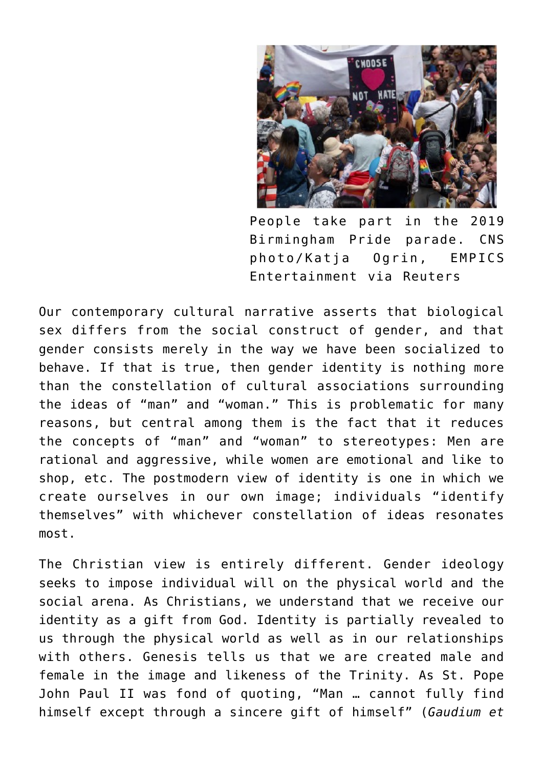

People take part in the 2019 Birmingham Pride parade. CNS photo/Katja Ogrin, EMPICS Entertainment via Reuters

Our contemporary cultural narrative asserts that biological sex differs from the social construct of gender, and that gender consists merely in the way we have been socialized to behave. If that is true, then gender identity is nothing more than the constellation of cultural associations surrounding the ideas of "man" and "woman." This is problematic for many reasons, but central among them is the fact that it reduces the concepts of "man" and "woman" to stereotypes: Men are rational and aggressive, while women are emotional and like to shop, etc. The postmodern view of identity is one in which we create ourselves in our own image; individuals "identify themselves" with whichever constellation of ideas resonates most.

The Christian view is entirely different. Gender ideology seeks to impose individual will on the physical world and the social arena. As Christians, we understand that we receive our identity as a gift from God. Identity is partially revealed to us through the physical world as well as in our relationships with others. Genesis tells us that we are created male and female in the image and likeness of the Trinity. As St. Pope John Paul II was fond of quoting, "Man … cannot fully find himself except through a sincere gift of himself" (*Gaudium et*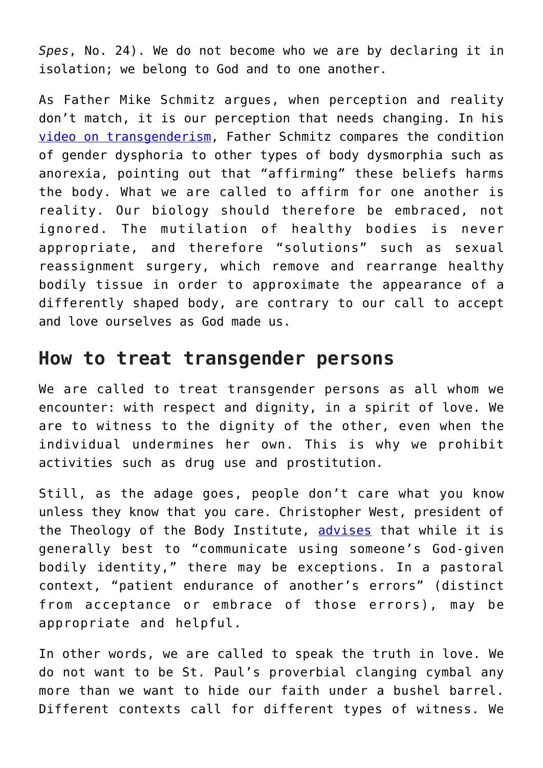*Spes*, No. 24). We do not become who we are by declaring it in isolation; we belong to God and to one another.

As Father Mike Schmitz argues, when perception and reality don't match, it is our perception that needs changing. In his [video on transgenderism,](https://www.youtube.com/watch?v=4-9_rxXFu9I&t=381s) Father Schmitz compares the condition of gender dysphoria to other types of body dysmorphia such as anorexia, pointing out that "affirming" these beliefs harms the body. What we are called to affirm for one another is reality. Our biology should therefore be embraced, not ignored. The mutilation of healthy bodies is never appropriate, and therefore "solutions" such as sexual reassignment surgery, which remove and rearrange healthy bodily tissue in order to approximate the appearance of a differently shaped body, are contrary to our call to accept and love ourselves as God made us.

## **How to treat transgender persons**

We are called to treat transgender persons as all whom we encounter: with respect and dignity, in a spirit of love. We are to witness to the dignity of the other, even when the individual undermines her own. This is why we prohibit activities such as drug use and prostitution.

Still, as the adage goes, people don't care what you know unless they know that you care. Christopher West, president of the Theology of the Body Institute, [advises](https://www.youtube.com/watch?v=y2VefGrVH8s) that while it is generally best to "communicate using someone's God-given bodily identity," there may be exceptions. In a pastoral context, "patient endurance of another's errors" (distinct from acceptance or embrace of those errors), may be appropriate and helpful.

In other words, we are called to speak the truth in love. We do not want to be St. Paul's proverbial clanging cymbal any more than we want to hide our faith under a bushel barrel. Different contexts call for different types of witness. We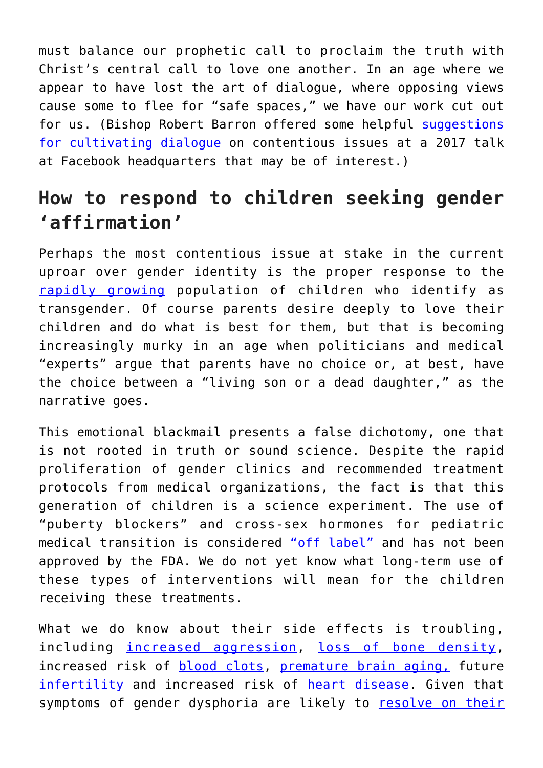must balance our prophetic call to proclaim the truth with Christ's central call to love one another. In an age where we appear to have lost the art of dialogue, where opposing views cause some to flee for "safe spaces," we have our work cut out for us. (Bishop Robert Barron offered some helpful [suggestions](https://www.youtube.com/watch?v=-AuIkS-e9og) [for cultivating dialogue](https://www.youtube.com/watch?v=-AuIkS-e9og) on contentious issues at a 2017 talk at Facebook headquarters that may be of interest.)

## **How to respond to children seeking gender 'affirmation'**

Perhaps the most contentious issue at stake in the current uproar over gender identity is the proper response to the [rapidly growing](https://www.theatlantic.com/magazine/archive/2018/07/when-a-child-says-shes-trans/561749/) population of children who identify as transgender. Of course parents desire deeply to love their children and do what is best for them, but that is becoming increasingly murky in an age when politicians and medical "experts" argue that parents have no choice or, at best, have the choice between a "living son or a dead daughter," as the narrative goes.

This emotional blackmail presents a false dichotomy, one that is not rooted in truth or sound science. Despite the rapid proliferation of gender clinics and recommended treatment protocols from medical organizations, the fact is that this generation of children is a science experiment. The use of "puberty blockers" and cross-sex hormones for pediatric medical transition is considered ["off label"](https://www.statnews.com/2017/02/02/lupron-puberty-children-health-problems/) and has not been approved by the FDA. We do not yet know what long-term use of these types of interventions will mean for the children receiving these treatments.

What we do know about their side effects is troubling, including [increased aggression,](https://www.sciencedaily.com/releases/2021/03/210325084537.htm) [loss of bone density,](https://www.ncbi.nlm.nih.gov/pmc/articles/PMC6616494/) increased risk of **[blood clots](https://www.medscape.com/viewarticle/946131?fbclid=IwAR1ddcY4cZ6E-GdeazpgFj_NItccDeOezhDHr14wnO2Xv9Br8d6aR9nCda4#vp_2)**, [premature brain aging,](https://www.sciencedaily.com/releases/2021/03/210325084537.htm) future [infertility](https://transcare.ucsf.edu/guidelines/fertility) and increased risk of [heart disease.](https://www.heart.org/en/news/2019/04/05/transgender-men-and-women-may-have-higher-heart-attack-risk) Given that symptoms of gender dysphoria are likely to [resolve on their](https://www.medscape.com/viewarticle/958742#vp_4)